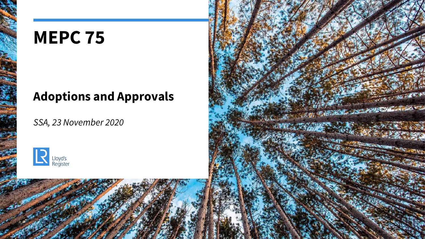## **MEPC 75**

## **Adoptions and Approvals**

*SSA, 23 November 2020*



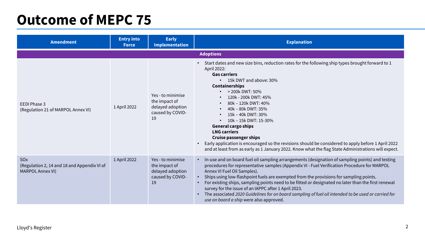## **Outcome of MEPC 75**

| <b>Amendment</b>                                                                          | <b>Entry into</b><br><b>Force</b> | <b>Early</b><br><b>Implementation</b>                                            | <b>Explanation</b>                                                                                                                                                                                                                                                                                                                                                                                                                                                                                                                                                                                                                                                                          |  |  |
|-------------------------------------------------------------------------------------------|-----------------------------------|----------------------------------------------------------------------------------|---------------------------------------------------------------------------------------------------------------------------------------------------------------------------------------------------------------------------------------------------------------------------------------------------------------------------------------------------------------------------------------------------------------------------------------------------------------------------------------------------------------------------------------------------------------------------------------------------------------------------------------------------------------------------------------------|--|--|
| <b>Adoptions</b>                                                                          |                                   |                                                                                  |                                                                                                                                                                                                                                                                                                                                                                                                                                                                                                                                                                                                                                                                                             |  |  |
| EEDI Phase 3<br>(Regulation 21 of MARPOL Annex VI)                                        | 1 April 2022                      | Yes - to minimise<br>the impact of<br>delayed adoption<br>caused by COVID-<br>19 | Start dates and new size bins, reduction rates for the following ship types brought forward to 1<br>$\bullet$<br>April 2022:<br><b>Gas carriers</b><br>15k DWT and above: 30%<br>$\bullet$<br><b>Containerships</b><br>• $> 200k$ DWT: 50%<br>120k - 200k DWT: 45%<br>80k - 120k DWT: 40%<br>$\bullet$<br>40k - 80k DWT: 35%<br>15k - 40k DWT: 30%<br>$\bullet$<br>10k - 15k DWT: 15-30%<br><b>General cargo ships</b><br><b>LNG carriers</b><br><b>Cruise passenger ships</b><br>Early application is encouraged so the revisions should be considered to apply before 1 April 2022<br>and at least from as early as 1 January 2022. Know what the flag State Administrations will expect. |  |  |
| SO <sub>x</sub><br>(Regulation 2, 14 and 18 and Appendix VI of<br><b>MARPOL Annex VI)</b> | 1 April 2022                      | Yes - to minimise<br>the impact of<br>delayed adoption<br>caused by COVID-<br>19 | In-use and on board fuel oil sampling arrangements (designation of sampling points) and testing<br>procedures for representative samples (Appendix VI - Fuel Verification Procedure for MARPOL<br>Annex VI Fuel Oil Samples).<br>Ships using low-flashpoint fuels are exempted from the provisions for sampling points.<br>For existing ships, sampling points need to be fitted or designated no later than the first renewal<br>survey for the issue of an IAPPC after 1 April 2023.<br>The associated 2020 Guidelines for on board sampling of fuel oil intended to be used or carried for<br>$\bullet$<br>use on board a ship were also approved.                                       |  |  |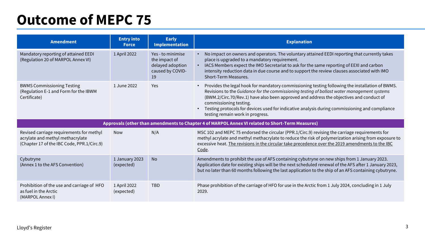## **Outcome of MEPC 75**

| <b>Amendment</b>                                                                                                           | <b>Entry into</b><br><b>Force</b> | <b>Early</b><br><b>Implementation</b>                                            | <b>Explanation</b>                                                                                                                                                                                                                                                                                                                                                                                                                                                     |  |  |
|----------------------------------------------------------------------------------------------------------------------------|-----------------------------------|----------------------------------------------------------------------------------|------------------------------------------------------------------------------------------------------------------------------------------------------------------------------------------------------------------------------------------------------------------------------------------------------------------------------------------------------------------------------------------------------------------------------------------------------------------------|--|--|
| Mandatory reporting of attained EEDI<br>(Regulation 20 of MARPOL Annex VI)                                                 | 1 April 2022                      | Yes - to minimise<br>the impact of<br>delayed adoption<br>caused by COVID-<br>19 | No impact on owners and operators. The voluntary attained EEDI reporting that currently takes<br>place is upgraded to a mandatory requirement.<br>IACS Members expect the IMO Secretariat to ask for the same reporting of EEXI and carbon<br>intensity reduction data in due course and to support the review clauses associated with IMO<br>Short-Term Measures.                                                                                                     |  |  |
| <b>BWMS Commissioning Testing</b><br>(Regulation E-1 and Form for the IBWM<br>Certificate)                                 | 1 June 2022                       | Yes                                                                              | Provides the legal hook for mandatory commissioning testing following the installation of BWMS.<br>Revisions to the Guidance for the commissioning testing of ballast water management systems<br>(BWM.2/Circ.70/Rev.1) have also been approved and address the objectives and conduct of<br>commissioning testing.<br>Testing protocols for devices used for indicative analysis during commissioning and compliance<br>$\bullet$<br>testing remain work in progress. |  |  |
| Approvals (other than amendments to Chapter 4 of MARPOL Annex VI related to Short-Term Measures)                           |                                   |                                                                                  |                                                                                                                                                                                                                                                                                                                                                                                                                                                                        |  |  |
| Revised carriage requirements for methyl<br>acrylate and methyl methacrylate<br>(Chapter 17 of the IBC Code, PPR.1/Circ.9) | <b>Now</b>                        | N/A                                                                              | MSC 102 and MEPC 75 endorsed the circular (PPR.1/Circ.9) revising the carriage requirements for<br>methyl acrylate and methyl methacrylate to reduce the risk of polymerization arising from exposure to<br>excessive heat. The revisions in the circular take precedence over the 2019 amendments to the IBC<br>Code.                                                                                                                                                 |  |  |
| Cybutryne<br>(Annex 1 to the AFS Convention)                                                                               | 1 January 2023<br>(expected)      | <b>No</b>                                                                        | Amendments to prohibit the use of AFS containing cybutryne on new ships from 1 January 2023.<br>Application date for existing ships will be the next scheduled renewal of the AFS after 1 January 2023,<br>but no later than 60 months following the last application to the ship of an AFS containing cybutryne.                                                                                                                                                      |  |  |
| Prohibition of the use and carriage of HFO<br>as fuel in the Arctic<br>(MARPOL Annex I)                                    | 1 April 2022<br>(expected)        | <b>TBD</b>                                                                       | Phase prohibition of the carriage of HFO for use in the Arctic from 1 July 2024, concluding in 1 July<br>2029.                                                                                                                                                                                                                                                                                                                                                         |  |  |